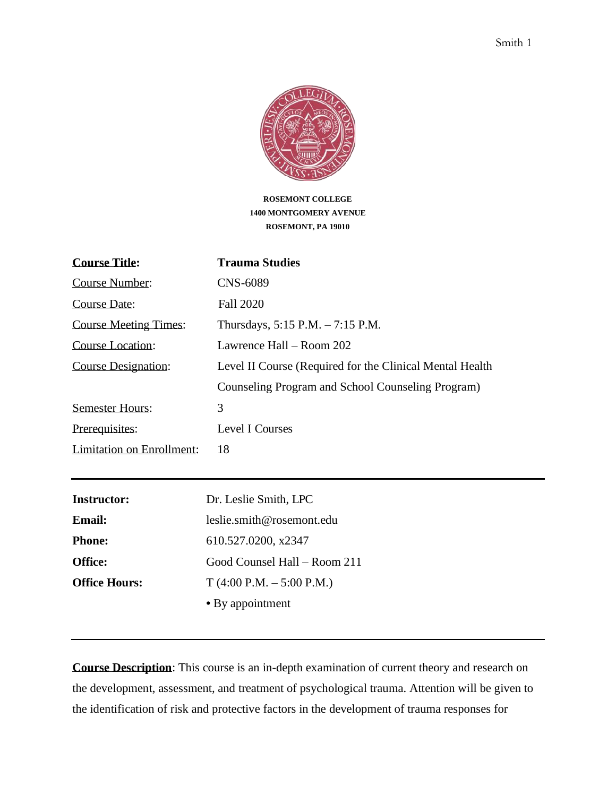

**ROSEMONT COLLEGE 1400 MONTGOMERY AVENUE ROSEMONT, PA 19010**

| <b>Course Title:</b>             | <b>Trauma Studies</b>                                     |
|----------------------------------|-----------------------------------------------------------|
| Course Number:                   | CNS-6089                                                  |
| Course Date:                     | <b>Fall 2020</b>                                          |
| <b>Course Meeting Times:</b>     | Thursdays, $5:15$ P.M. $-7:15$ P.M.                       |
| Course Location:                 | Lawrence Hall – Room 202                                  |
| <b>Course Designation:</b>       | Level II Course (Required for the Clinical Mental Health) |
|                                  | Counseling Program and School Counseling Program)         |
| <b>Semester Hours:</b>           | 3                                                         |
| Prerequisites:                   | Level I Courses                                           |
| <b>Limitation on Enrollment:</b> | 18                                                        |

| <b>Instructor:</b>   | Dr. Leslie Smith, LPC        |
|----------------------|------------------------------|
| <b>Email:</b>        | leslie.smith@rosemont.edu    |
| <b>Phone:</b>        | 610.527.0200, x2347          |
| <b>Office:</b>       | Good Counsel Hall – Room 211 |
| <b>Office Hours:</b> | $T(4:00 P.M. - 5:00 P.M.)$   |
|                      | • By appointment             |
|                      |                              |

**Course Description**: This course is an in-depth examination of current theory and research on the development, assessment, and treatment of psychological trauma. Attention will be given to the identification of risk and protective factors in the development of trauma responses for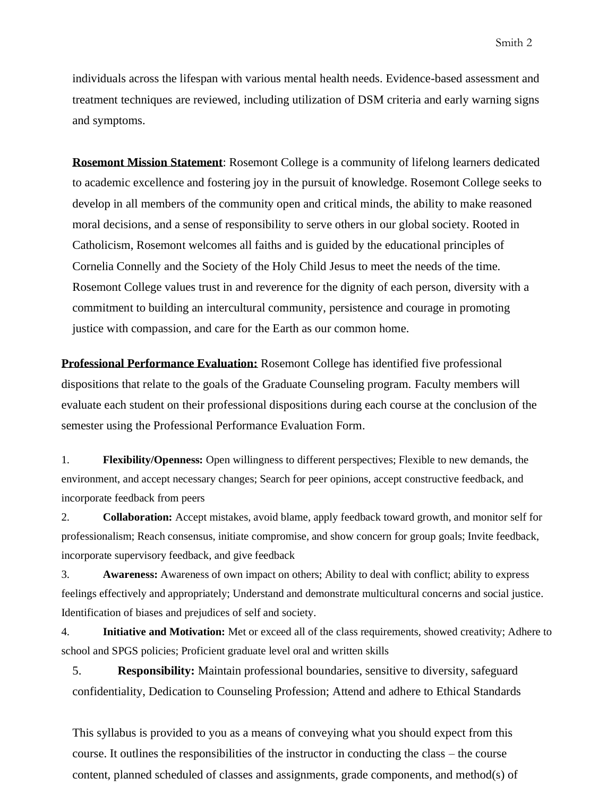individuals across the lifespan with various mental health needs. Evidence-based assessment and treatment techniques are reviewed, including utilization of DSM criteria and early warning signs and symptoms.

**Rosemont Mission Statement**: Rosemont College is a community of lifelong learners dedicated to academic excellence and fostering joy in the pursuit of knowledge. Rosemont College seeks to develop in all members of the community open and critical minds, the ability to make reasoned moral decisions, and a sense of responsibility to serve others in our global society. Rooted in Catholicism, Rosemont welcomes all faiths and is guided by the educational principles of Cornelia Connelly and the Society of the Holy Child Jesus to meet the needs of the time. Rosemont College values trust in and reverence for the dignity of each person, diversity with a commitment to building an intercultural community, persistence and courage in promoting justice with compassion, and care for the Earth as our common home.

**Professional Performance Evaluation:** Rosemont College has identified five professional dispositions that relate to the goals of the Graduate Counseling program. Faculty members will evaluate each student on their professional dispositions during each course at the conclusion of the semester using the Professional Performance Evaluation Form.

1. **Flexibility/Openness:** Open willingness to different perspectives; Flexible to new demands, the environment, and accept necessary changes; Search for peer opinions, accept constructive feedback, and incorporate feedback from peers

2. **Collaboration:** Accept mistakes, avoid blame, apply feedback toward growth, and monitor self for professionalism; Reach consensus, initiate compromise, and show concern for group goals; Invite feedback, incorporate supervisory feedback, and give feedback

3. **Awareness:** Awareness of own impact on others; Ability to deal with conflict; ability to express feelings effectively and appropriately; Understand and demonstrate multicultural concerns and social justice. Identification of biases and prejudices of self and society.

4. **Initiative and Motivation:** Met or exceed all of the class requirements, showed creativity; Adhere to school and SPGS policies; Proficient graduate level oral and written skills

5. **Responsibility:** Maintain professional boundaries, sensitive to diversity, safeguard confidentiality, Dedication to Counseling Profession; Attend and adhere to Ethical Standards

This syllabus is provided to you as a means of conveying what you should expect from this course. It outlines the responsibilities of the instructor in conducting the class – the course content, planned scheduled of classes and assignments, grade components, and method(s) of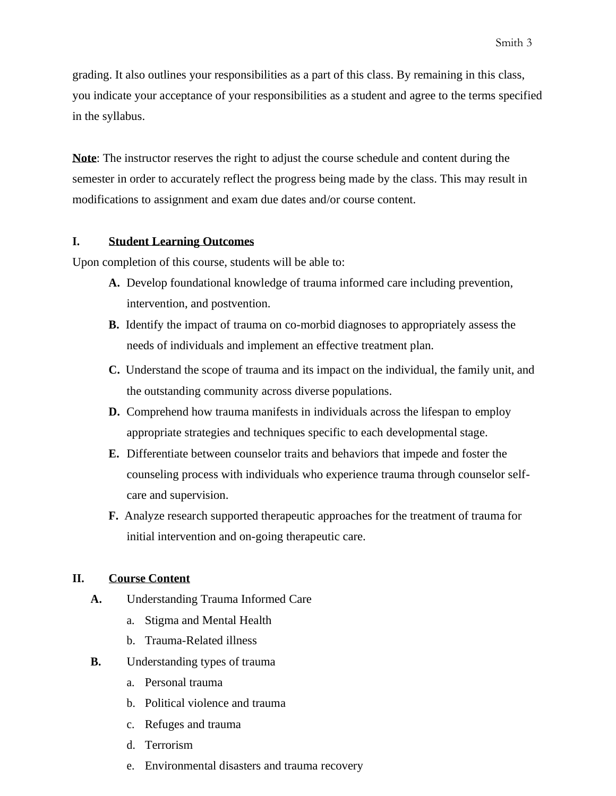grading. It also outlines your responsibilities as a part of this class. By remaining in this class, you indicate your acceptance of your responsibilities as a student and agree to the terms specified in the syllabus.

**Note**: The instructor reserves the right to adjust the course schedule and content during the semester in order to accurately reflect the progress being made by the class. This may result in modifications to assignment and exam due dates and/or course content.

### **I. Student Learning Outcomes**

Upon completion of this course, students will be able to:

- **A.** Develop foundational knowledge of trauma informed care including prevention, intervention, and postvention.
- **B.** Identify the impact of trauma on co-morbid diagnoses to appropriately assess the needs of individuals and implement an effective treatment plan.
- **C.** Understand the scope of trauma and its impact on the individual, the family unit, and the outstanding community across diverse populations.
- **D.** Comprehend how trauma manifests in individuals across the lifespan to employ appropriate strategies and techniques specific to each developmental stage.
- **E.** Differentiate between counselor traits and behaviors that impede and foster the counseling process with individuals who experience trauma through counselor selfcare and supervision.
- **F.** Analyze research supported therapeutic approaches for the treatment of trauma for initial intervention and on-going therapeutic care.

## **II. Course Content**

- **A.** Understanding Trauma Informed Care
	- a. Stigma and Mental Health
	- b. Trauma-Related illness
- **B.** Understanding types of trauma
	- a. Personal trauma
	- b. Political violence and trauma
	- c. Refuges and trauma
	- d. Terrorism
	- e. Environmental disasters and trauma recovery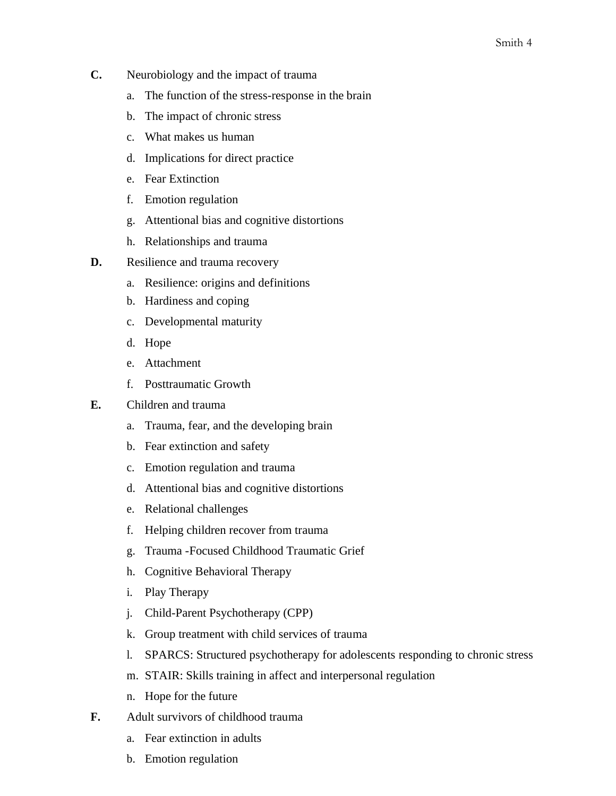- **C.** Neurobiology and the impact of trauma
	- a. The function of the stress-response in the brain
	- b. The impact of chronic stress
	- c. What makes us human
	- d. Implications for direct practice
	- e. Fear Extinction
	- f. Emotion regulation
	- g. Attentional bias and cognitive distortions
	- h. Relationships and trauma
- **D.** Resilience and trauma recovery
	- a. Resilience: origins and definitions
	- b. Hardiness and coping
	- c. Developmental maturity
	- d. Hope
	- e. Attachment
	- f. Posttraumatic Growth
- **E.** Children and trauma
	- a. Trauma, fear, and the developing brain
	- b. Fear extinction and safety
	- c. Emotion regulation and trauma
	- d. Attentional bias and cognitive distortions
	- e. Relational challenges
	- f. Helping children recover from trauma
	- g. Trauma -Focused Childhood Traumatic Grief
	- h. Cognitive Behavioral Therapy
	- i. Play Therapy
	- j. Child-Parent Psychotherapy (CPP)
	- k. Group treatment with child services of trauma
	- l. SPARCS: Structured psychotherapy for adolescents responding to chronic stress
	- m. STAIR: Skills training in affect and interpersonal regulation
	- n. Hope for the future
- **F.** Adult survivors of childhood trauma
	- a. Fear extinction in adults
	- b. Emotion regulation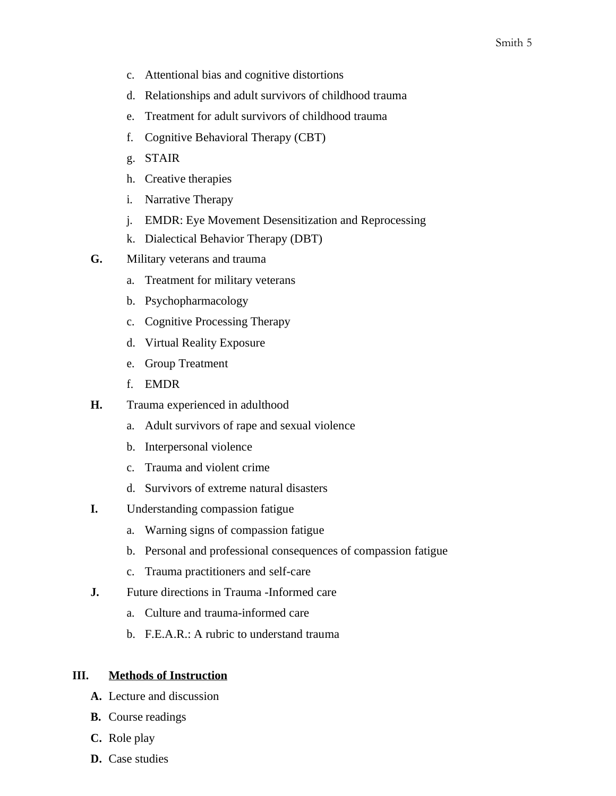- c. Attentional bias and cognitive distortions
- d. Relationships and adult survivors of childhood trauma
- e. Treatment for adult survivors of childhood trauma
- f. Cognitive Behavioral Therapy (CBT)
- g. STAIR
- h. Creative therapies
- i. Narrative Therapy
- j. EMDR: Eye Movement Desensitization and Reprocessing
- k. Dialectical Behavior Therapy (DBT)
- **G.** Military veterans and trauma
	- a. Treatment for military veterans
	- b. Psychopharmacology
	- c. Cognitive Processing Therapy
	- d. Virtual Reality Exposure
	- e. Group Treatment
	- f. EMDR
- **H.** Trauma experienced in adulthood
	- a. Adult survivors of rape and sexual violence
	- b. Interpersonal violence
	- c. Trauma and violent crime
	- d. Survivors of extreme natural disasters
- **I.** Understanding compassion fatigue
	- a. Warning signs of compassion fatigue
	- b. Personal and professional consequences of compassion fatigue
	- c. Trauma practitioners and self-care
- **J.** Future directions in Trauma -Informed care
	- a. Culture and trauma-informed care
	- b. F.E.A.R.: A rubric to understand trauma

### **III. Methods of Instruction**

- **A.** Lecture and discussion
- **B.** Course readings
- **C.** Role play
- **D.** Case studies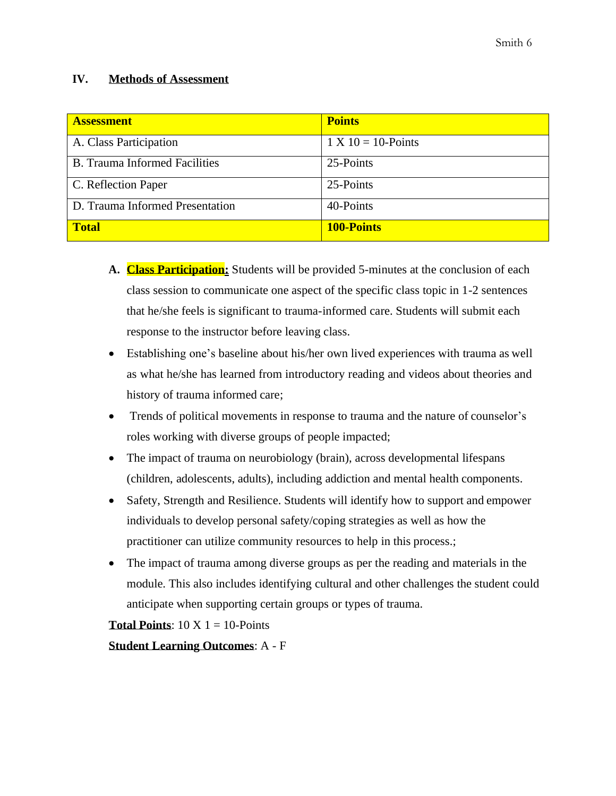## **IV. Methods of Assessment**

| <b>Assessment</b>                    | <b>Points</b>         |
|--------------------------------------|-----------------------|
| A. Class Participation               | $1 X 10 = 10$ -Points |
| <b>B.</b> Trauma Informed Facilities | 25-Points             |
| C. Reflection Paper                  | 25-Points             |
| D. Trauma Informed Presentation      | 40-Points             |
| <b>Total</b>                         | <b>100-Points</b>     |

- **A. Class Participation:** Students will be provided 5-minutes at the conclusion of each class session to communicate one aspect of the specific class topic in 1-2 sentences that he/she feels is significant to trauma-informed care. Students will submit each response to the instructor before leaving class.
- Establishing one's baseline about his/her own lived experiences with trauma as well as what he/she has learned from introductory reading and videos about theories and history of trauma informed care;
- Trends of political movements in response to trauma and the nature of counselor's roles working with diverse groups of people impacted;
- The impact of trauma on neurobiology (brain), across developmental lifespans (children, adolescents, adults), including addiction and mental health components.
- Safety, Strength and Resilience. Students will identify how to support and empower individuals to develop personal safety/coping strategies as well as how the practitioner can utilize community resources to help in this process.;
- The impact of trauma among diverse groups as per the reading and materials in the module. This also includes identifying cultural and other challenges the student could anticipate when supporting certain groups or types of trauma.

**Total Points:**  $10 \text{ X } 1 = 10$ -Points

**Student Learning Outcomes**: A - F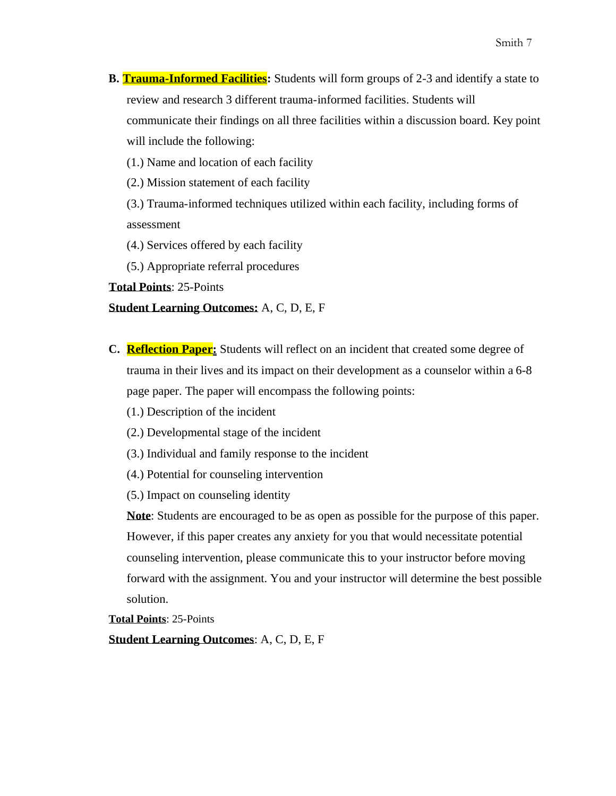**B. Trauma-Informed Facilities:** Students will form groups of 2-3 and identify a state to review and research 3 different trauma-informed facilities. Students will communicate their findings on all three facilities within a discussion board. Key point will include the following:

(1.) Name and location of each facility

(2.) Mission statement of each facility

(3.) Trauma-informed techniques utilized within each facility, including forms of assessment

(4.) Services offered by each facility

(5.) Appropriate referral procedures

**Total Points**: 25-Points

#### **Student Learning Outcomes:** A, C, D, E, F

**C. Reflection Paper:** Students will reflect on an incident that created some degree of trauma in their lives and its impact on their development as a counselor within a 6-8 page paper. The paper will encompass the following points:

(1.) Description of the incident

- (2.) Developmental stage of the incident
- (3.) Individual and family response to the incident
- (4.) Potential for counseling intervention

(5.) Impact on counseling identity

**Note**: Students are encouraged to be as open as possible for the purpose of this paper. However, if this paper creates any anxiety for you that would necessitate potential counseling intervention, please communicate this to your instructor before moving forward with the assignment. You and your instructor will determine the best possible solution.

**Total Points**: 25-Points

**Student Learning Outcomes**: A, C, D, E, F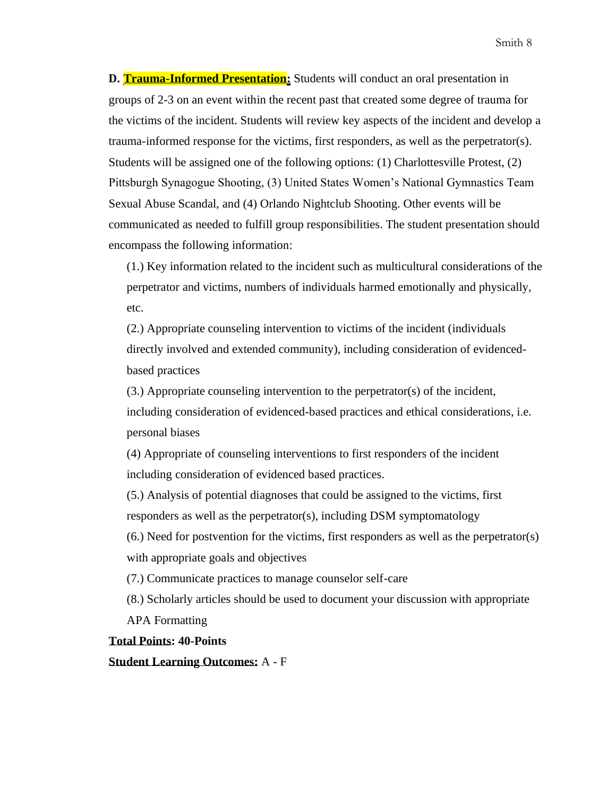**D. Trauma-Informed Presentation:** Students will conduct an oral presentation in groups of 2-3 on an event within the recent past that created some degree of trauma for the victims of the incident. Students will review key aspects of the incident and develop a trauma-informed response for the victims, first responders, as well as the perpetrator(s). Students will be assigned one of the following options: (1) Charlottesville Protest, (2) Pittsburgh Synagogue Shooting, (3) United States Women's National Gymnastics Team Sexual Abuse Scandal, and (4) Orlando Nightclub Shooting. Other events will be communicated as needed to fulfill group responsibilities. The student presentation should encompass the following information:

(1.) Key information related to the incident such as multicultural considerations of the perpetrator and victims, numbers of individuals harmed emotionally and physically, etc.

(2.) Appropriate counseling intervention to victims of the incident (individuals directly involved and extended community), including consideration of evidencedbased practices

(3.) Appropriate counseling intervention to the perpetrator(s) of the incident, including consideration of evidenced-based practices and ethical considerations, i.e. personal biases

(4) Appropriate of counseling interventions to first responders of the incident including consideration of evidenced based practices.

(5.) Analysis of potential diagnoses that could be assigned to the victims, first responders as well as the perpetrator(s), including DSM symptomatology

(6.) Need for postvention for the victims, first responders as well as the perpetrator(s) with appropriate goals and objectives

(7.) Communicate practices to manage counselor self-care

(8.) Scholarly articles should be used to document your discussion with appropriate APA Formatting

**Total Points: 40-Points**

**Student Learning Outcomes:** A - F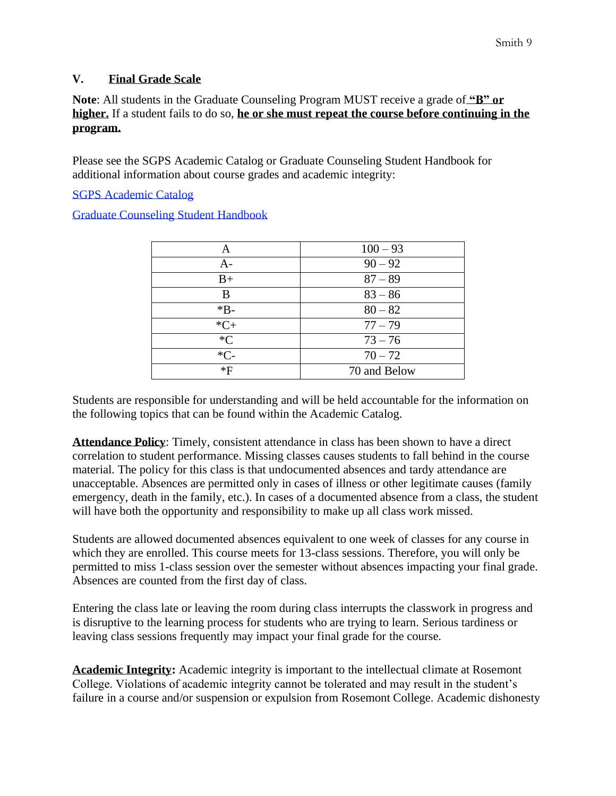## **V. Final Grade Scale**

**Note**: All students in the Graduate Counseling Program MUST receive a grade of **"B" or higher.** If a student fails to do so, **he or she must repeat the course before continuing in the program.**

Please see the SGPS Academic Catalog or Graduate Counseling Student Handbook for additional information about course grades and academic integrity:

SGPS Academic Catalog

Graduate Counseling Student Handbook

| Α       | $100 - 93$   |
|---------|--------------|
| $A -$   | $90 - 92$    |
| $B+$    | $87 - 89$    |
| B       | $83 - 86$    |
| $*B-$   | $80 - 82$    |
| $*C+$   | $77 - 79$    |
| $C^*C$  | $73 - 76$    |
| $C_{-}$ | $70 - 72$    |
| $*F$    | 70 and Below |

Students are responsible for understanding and will be held accountable for the information on the following topics that can be found within the Academic Catalog.

**Attendance Policy**: Timely, consistent attendance in class has been shown to have a direct correlation to student performance. Missing classes causes students to fall behind in the course material. The policy for this class is that undocumented absences and tardy attendance are unacceptable. Absences are permitted only in cases of illness or other legitimate causes (family emergency, death in the family, etc.). In cases of a documented absence from a class, the student will have both the opportunity and responsibility to make up all class work missed.

Students are allowed documented absences equivalent to one week of classes for any course in which they are enrolled. This course meets for 13-class sessions. Therefore, you will only be permitted to miss 1-class session over the semester without absences impacting your final grade. Absences are counted from the first day of class.

Entering the class late or leaving the room during class interrupts the classwork in progress and is disruptive to the learning process for students who are trying to learn. Serious tardiness or leaving class sessions frequently may impact your final grade for the course.

**Academic Integrity:** Academic integrity is important to the intellectual climate at Rosemont College. Violations of academic integrity cannot be tolerated and may result in the student's failure in a course and/or suspension or expulsion from Rosemont College. Academic dishonesty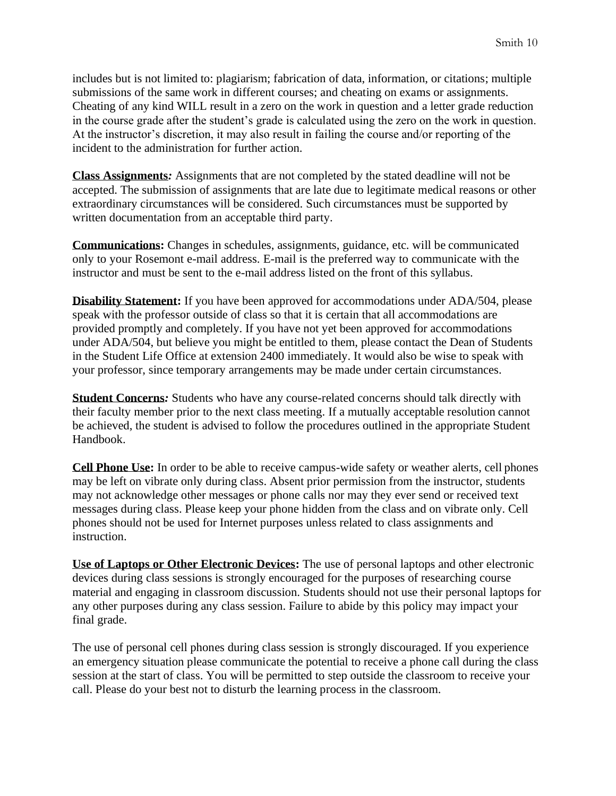includes but is not limited to: plagiarism; fabrication of data, information, or citations; multiple submissions of the same work in different courses; and cheating on exams or assignments. Cheating of any kind WILL result in a zero on the work in question and a letter grade reduction in the course grade after the student's grade is calculated using the zero on the work in question. At the instructor's discretion, it may also result in failing the course and/or reporting of the incident to the administration for further action.

**Class Assignments***:* Assignments that are not completed by the stated deadline will not be accepted. The submission of assignments that are late due to legitimate medical reasons or other extraordinary circumstances will be considered. Such circumstances must be supported by written documentation from an acceptable third party.

**Communications:** Changes in schedules, assignments, guidance, etc. will be communicated only to your Rosemont e-mail address. E-mail is the preferred way to communicate with the instructor and must be sent to the e-mail address listed on the front of this syllabus.

**Disability Statement:** If you have been approved for accommodations under ADA/504, please speak with the professor outside of class so that it is certain that all accommodations are provided promptly and completely. If you have not yet been approved for accommodations under ADA/504, but believe you might be entitled to them, please contact the Dean of Students in the Student Life Office at extension 2400 immediately. It would also be wise to speak with your professor, since temporary arrangements may be made under certain circumstances.

**Student Concerns***:* Students who have any course-related concerns should talk directly with their faculty member prior to the next class meeting. If a mutually acceptable resolution cannot be achieved, the student is advised to follow the procedures outlined in the appropriate Student Handbook.

**Cell Phone Use:** In order to be able to receive campus-wide safety or weather alerts, cell phones may be left on vibrate only during class. Absent prior permission from the instructor, students may not acknowledge other messages or phone calls nor may they ever send or received text messages during class. Please keep your phone hidden from the class and on vibrate only. Cell phones should not be used for Internet purposes unless related to class assignments and instruction.

**Use of Laptops or Other Electronic Devices:** The use of personal laptops and other electronic devices during class sessions is strongly encouraged for the purposes of researching course material and engaging in classroom discussion. Students should not use their personal laptops for any other purposes during any class session. Failure to abide by this policy may impact your final grade.

The use of personal cell phones during class session is strongly discouraged. If you experience an emergency situation please communicate the potential to receive a phone call during the class session at the start of class. You will be permitted to step outside the classroom to receive your call. Please do your best not to disturb the learning process in the classroom.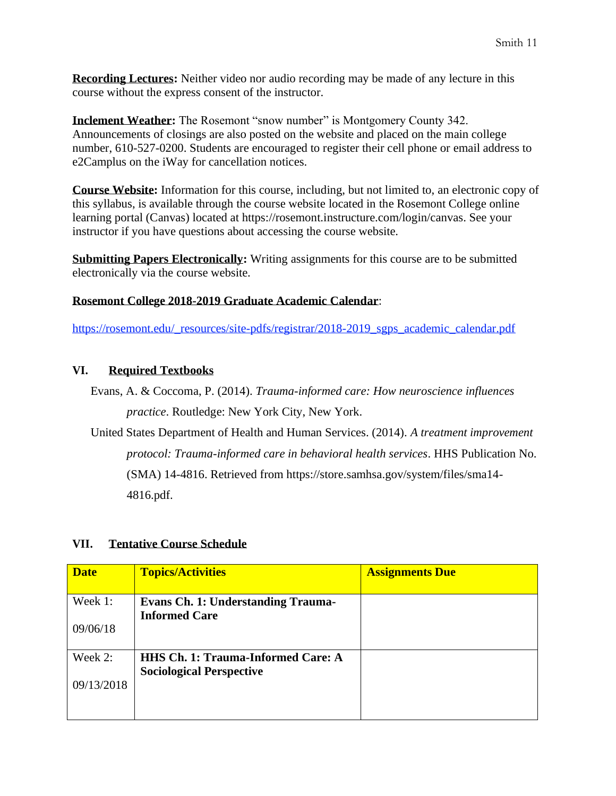**Recording Lectures:** Neither video nor audio recording may be made of any lecture in this course without the express consent of the instructor.

**Inclement Weather:** The Rosemont "snow number" is Montgomery County 342. Announcements of closings are also posted on the website and placed on the main college number, 610-527-0200. Students are encouraged to register their cell phone or email address to e2Camplus on the iWay for cancellation notices.

**Course Website:** Information for this course, including, but not limited to, an electronic copy of this syllabus, is available through the course website located in the Rosemont College online learning portal (Canvas) located at https://rosemont.instructure.com/login/canvas. See your instructor if you have questions about accessing the course website.

**Submitting Papers Electronically:** Writing assignments for this course are to be submitted electronically via the course website.

## **Rosemont College 2018-2019 Graduate Academic Calendar**:

[https://rosemont.edu/\\_resources/site-pdfs/registrar/2018-2019\\_sgps\\_academic\\_calendar.pdf](https://rosemont.edu/_resources/site-pdfs/registrar/2018-2019_sgps_academic_calendar.pdf)

## **VI. Required Textbooks**

Evans, A. & Coccoma, P. (2014). *Trauma-informed care: How neuroscience influences practice*. Routledge: New York City, New York.

United States Department of Health and Human Services. (2014). *A treatment improvement protocol: Trauma-informed care in behavioral health services*. HHS Publication No. (SMA) 14-4816. Retrieved from https://store.samhsa.gov/system/files/sma14- 4816.pdf.

### **VII. Tentative Course Schedule**

| <b>Date</b> | <b>Topics/Activities</b>                                          | <b>Assignments Due</b> |
|-------------|-------------------------------------------------------------------|------------------------|
| Week 1:     | <b>Evans Ch. 1: Understanding Trauma-</b><br><b>Informed Care</b> |                        |
| 09/06/18    |                                                                   |                        |
| Week 2:     | <b>HHS Ch. 1: Trauma-Informed Care: A</b>                         |                        |
|             | <b>Sociological Perspective</b>                                   |                        |
| 09/13/2018  |                                                                   |                        |
|             |                                                                   |                        |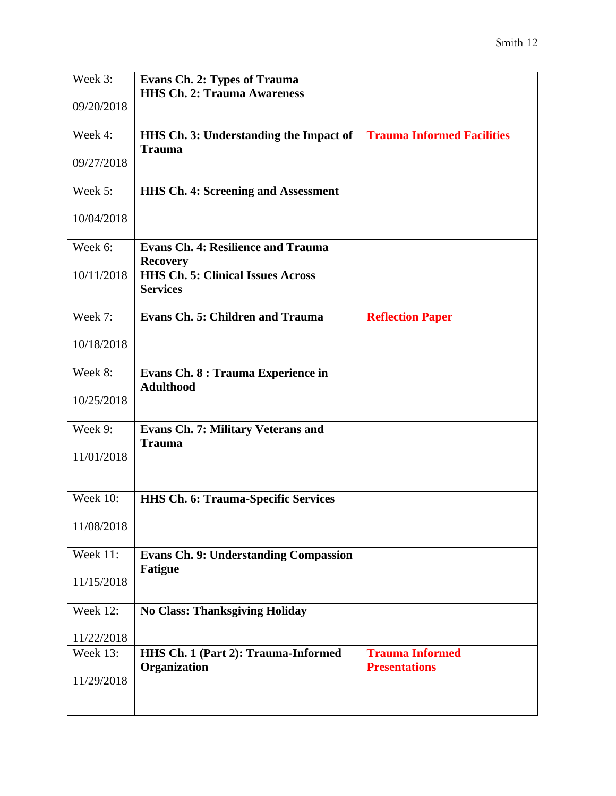| Week 3:         | <b>Evans Ch. 2: Types of Trauma</b>          |                                   |
|-----------------|----------------------------------------------|-----------------------------------|
|                 | <b>HHS Ch. 2: Trauma Awareness</b>           |                                   |
| 09/20/2018      |                                              |                                   |
|                 |                                              |                                   |
| Week 4:         | HHS Ch. 3: Understanding the Impact of       | <b>Trauma Informed Facilities</b> |
|                 | <b>Trauma</b>                                |                                   |
| 09/27/2018      |                                              |                                   |
|                 |                                              |                                   |
| Week 5:         | <b>HHS Ch. 4: Screening and Assessment</b>   |                                   |
| 10/04/2018      |                                              |                                   |
|                 |                                              |                                   |
| Week 6:         | <b>Evans Ch. 4: Resilience and Trauma</b>    |                                   |
|                 | <b>Recovery</b>                              |                                   |
| 10/11/2018      | <b>HHS Ch. 5: Clinical Issues Across</b>     |                                   |
|                 | <b>Services</b>                              |                                   |
|                 |                                              |                                   |
| Week 7:         | <b>Evans Ch. 5: Children and Trauma</b>      | <b>Reflection Paper</b>           |
|                 |                                              |                                   |
| 10/18/2018      |                                              |                                   |
|                 |                                              |                                   |
| Week 8:         | Evans Ch. 8 : Trauma Experience in           |                                   |
|                 | <b>Adulthood</b>                             |                                   |
| 10/25/2018      |                                              |                                   |
|                 |                                              |                                   |
| Week 9:         | <b>Evans Ch. 7: Military Veterans and</b>    |                                   |
|                 | <b>Trauma</b>                                |                                   |
| 11/01/2018      |                                              |                                   |
|                 |                                              |                                   |
|                 |                                              |                                   |
| <b>Week 10:</b> | <b>HHS Ch. 6: Trauma-Specific Services</b>   |                                   |
| 11/08/2018      |                                              |                                   |
|                 |                                              |                                   |
| Week 11:        | <b>Evans Ch. 9: Understanding Compassion</b> |                                   |
|                 | <b>Fatigue</b>                               |                                   |
| 11/15/2018      |                                              |                                   |
|                 |                                              |                                   |
| Week 12:        | <b>No Class: Thanksgiving Holiday</b>        |                                   |
|                 |                                              |                                   |
| 11/22/2018      |                                              |                                   |
| <b>Week 13:</b> | HHS Ch. 1 (Part 2): Trauma-Informed          | <b>Trauma Informed</b>            |
|                 | Organization                                 | <b>Presentations</b>              |
| 11/29/2018      |                                              |                                   |
|                 |                                              |                                   |
|                 |                                              |                                   |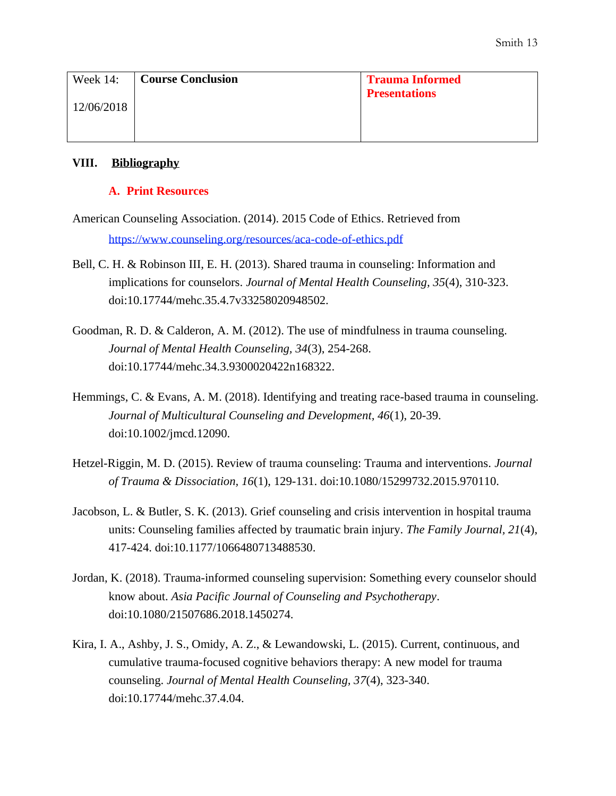| Week $14$ : | <b>Course Conclusion</b> | <b>Trauma Informed</b> |
|-------------|--------------------------|------------------------|
| 12/06/2018  |                          | <b>Presentations</b>   |
|             |                          |                        |

#### **VIII. Bibliography**

#### **A. Print Resources**

- American Counseling Association. (2014). 2015 Code of Ethics. Retrieved from <https://www.counseling.org/resources/aca-code-of-ethics.pdf>
- Bell, C. H. & Robinson III, E. H. (2013). Shared trauma in counseling: Information and implications for counselors. *Journal of Mental Health Counseling, 35*(4), 310-323. doi:10.17744/mehc.35.4.7v33258020948502.
- Goodman, R. D. & Calderon, A. M. (2012). The use of mindfulness in trauma counseling. *Journal of Mental Health Counseling, 34*(3), 254-268. doi:10.17744/mehc.34.3.9300020422n168322.
- Hemmings, C. & Evans, A. M. (2018). Identifying and treating race-based trauma in counseling. *Journal of Multicultural Counseling and Development, 46*(1), 20-39. doi:10.1002/jmcd.12090.
- Hetzel-Riggin, M. D. (2015). Review of trauma counseling: Trauma and interventions. *Journal of Trauma & Dissociation, 16*(1), 129-131. doi:10.1080/15299732.2015.970110.
- Jacobson, L. & Butler, S. K. (2013). Grief counseling and crisis intervention in hospital trauma units: Counseling families affected by traumatic brain injury. *The Family Journal, 21*(4), 417-424. doi:10.1177/1066480713488530.
- Jordan, K. (2018). Trauma-informed counseling supervision: Something every counselor should know about. *Asia Pacific Journal of Counseling and Psychotherapy*. doi:10.1080/21507686.2018.1450274.
- Kira, I. A., Ashby, J. S., Omidy, A. Z., & Lewandowski, L. (2015). Current, continuous, and cumulative trauma-focused cognitive behaviors therapy: A new model for trauma counseling. *Journal of Mental Health Counseling, 37*(4), 323-340. doi:10.17744/mehc.37.4.04.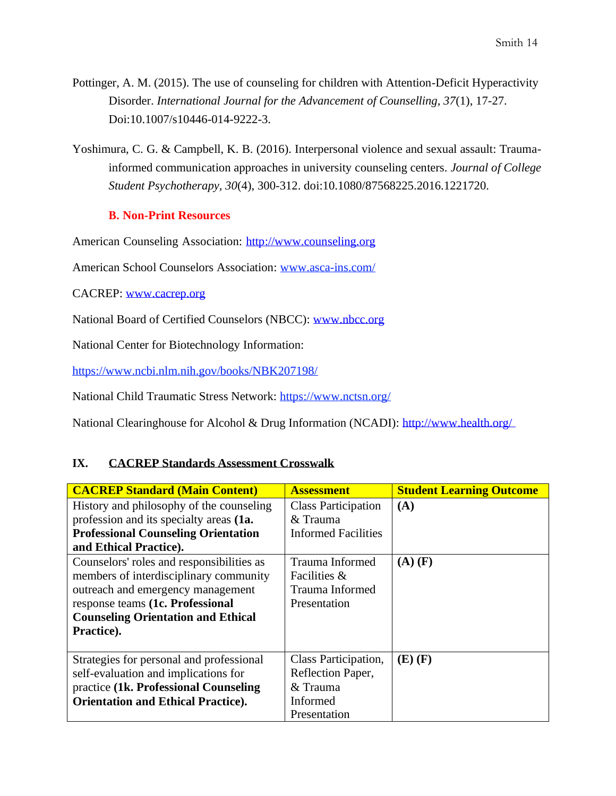- Pottinger, A. M. (2015). The use of counseling for children with Attention-Deficit Hyperactivity Disorder. *International Journal for the Advancement of Counselling, 37*(1), 17-27. Doi:10.1007/s10446-014-9222-3.
- Yoshimura, C. G. & Campbell, K. B. (2016). Interpersonal violence and sexual assault: Traumainformed communication approaches in university counseling centers. *Journal of College Student Psychotherapy, 30*(4), 300-312. doi:10.1080/87568225.2016.1221720.

# **B. Non-Print Resources**

American Counseling Association: [http://www.counseling.org](http://www.counseling.org/)

American School Counselors Association: [www.asca-ins.com/](http://www.asca-ins.com/)

CACREP: [www.cacrep.org](http://www.cacrep.org/)

National Board of Certified Counselors (NBCC): [www.nbcc.org](http://www.nbcc.org/)

National Center for Biotechnology Information:

<https://www.ncbi.nlm.nih.gov/books/NBK207198/>

National Child Traumatic Stress Network:<https://www.nctsn.org/>

National Clearinghouse for Alcohol & Drug Information (NCADI):<http://www.health.org/>

### **IX. CACREP Standards Assessment Crosswalk**

| <b>CACREP Standard (Main Content)</b>      | <b>Assessment</b>          | <b>Student Learning Outcome</b> |
|--------------------------------------------|----------------------------|---------------------------------|
| History and philosophy of the counseling   | <b>Class Participation</b> | (A)                             |
| profession and its specialty areas (1a.    | & Trauma                   |                                 |
| <b>Professional Counseling Orientation</b> | <b>Informed Facilities</b> |                                 |
| and Ethical Practice).                     |                            |                                 |
| Counselors' roles and responsibilities as  | Trauma Informed            | $(A)$ $(F)$                     |
| members of interdisciplinary community     | Facilities &               |                                 |
| outreach and emergency management          | Trauma Informed            |                                 |
| response teams (1c. Professional           | Presentation               |                                 |
| <b>Counseling Orientation and Ethical</b>  |                            |                                 |
| Practice).                                 |                            |                                 |
|                                            |                            |                                 |
| Strategies for personal and professional   | Class Participation,       | $(E)$ $(F)$                     |
| self-evaluation and implications for       | Reflection Paper,          |                                 |
| practice (1k. Professional Counseling)     | & Trauma                   |                                 |
| <b>Orientation and Ethical Practice).</b>  | Informed                   |                                 |
|                                            | Presentation               |                                 |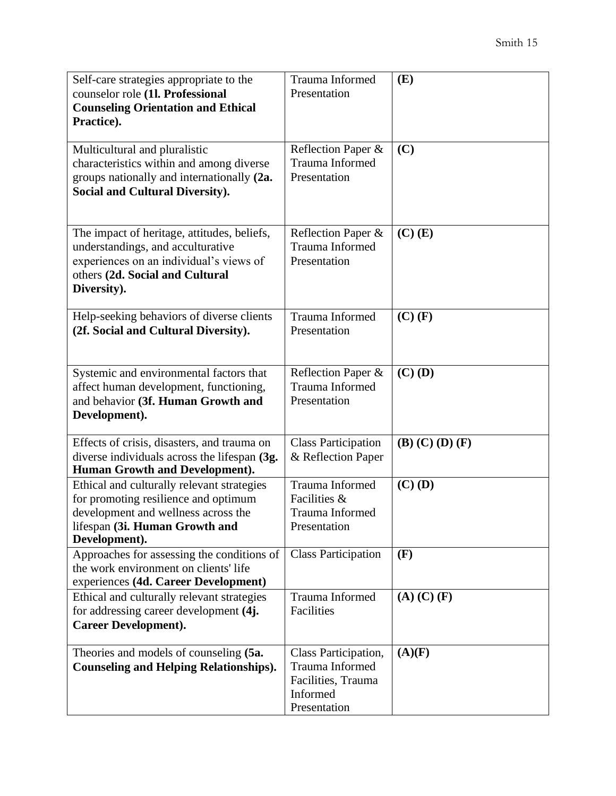| Self-care strategies appropriate to the<br>counselor role (1l. Professional<br><b>Counseling Orientation and Ethical</b><br>Practice).                                        | Trauma Informed<br>Presentation                                                           | (E)                     |
|-------------------------------------------------------------------------------------------------------------------------------------------------------------------------------|-------------------------------------------------------------------------------------------|-------------------------|
| Multicultural and pluralistic<br>characteristics within and among diverse<br>groups nationally and internationally (2a.<br><b>Social and Cultural Diversity).</b>             | Reflection Paper &<br>Trauma Informed<br>Presentation                                     | (C)                     |
| The impact of heritage, attitudes, beliefs,<br>understandings, and acculturative<br>experiences on an individual's views of<br>others (2d. Social and Cultural<br>Diversity). | Reflection Paper &<br>Trauma Informed<br>Presentation                                     | $(C)$ $(E)$             |
| Help-seeking behaviors of diverse clients<br>(2f. Social and Cultural Diversity).                                                                                             | Trauma Informed<br>Presentation                                                           | $(C)$ $(F)$             |
| Systemic and environmental factors that<br>affect human development, functioning,<br>and behavior (3f. Human Growth and<br>Development).                                      | Reflection Paper &<br>Trauma Informed<br>Presentation                                     | $(C)$ (D)               |
| Effects of crisis, disasters, and trauma on<br>diverse individuals across the lifespan (3g.<br><b>Human Growth and Development).</b>                                          | <b>Class Participation</b><br>& Reflection Paper                                          | $(B)$ $(C)$ $(D)$ $(F)$ |
| Ethical and culturally relevant strategies<br>for promoting resilience and optimum<br>development and wellness across the<br>lifespan (3i. Human Growth and<br>Development).  | Trauma Informed<br>Facilities &<br>Trauma Informed<br>Presentation                        | $(C)$ (D)               |
| Approaches for assessing the conditions of<br>the work environment on clients' life<br>experiences (4d. Career Development)                                                   | <b>Class Participation</b>                                                                | (F)                     |
| Ethical and culturally relevant strategies<br>for addressing career development (4j.<br><b>Career Development).</b>                                                           | Trauma Informed<br>Facilities                                                             | $(A)$ $(C)$ $(F)$       |
| Theories and models of counseling (5a.<br><b>Counseling and Helping Relationships).</b>                                                                                       | Class Participation,<br>Trauma Informed<br>Facilities, Trauma<br>Informed<br>Presentation | (A)(F)                  |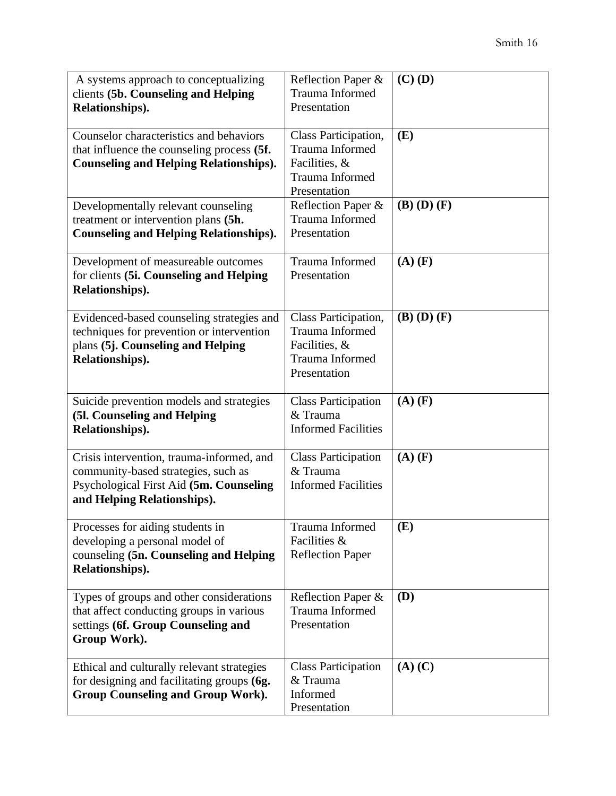| A systems approach to conceptualizing<br>clients (5b. Counseling and Helping<br>Relationships).                                                            | Reflection Paper &<br>Trauma Informed<br>Presentation                                       | $(C)$ (D)         |
|------------------------------------------------------------------------------------------------------------------------------------------------------------|---------------------------------------------------------------------------------------------|-------------------|
| Counselor characteristics and behaviors<br>that influence the counseling process (5f.<br><b>Counseling and Helping Relationships).</b>                     | Class Participation,<br>Trauma Informed<br>Facilities, &<br>Trauma Informed<br>Presentation | (E)               |
| Developmentally relevant counseling<br>treatment or intervention plans (5h.<br><b>Counseling and Helping Relationships).</b>                               | Reflection Paper &<br>Trauma Informed<br>Presentation                                       | $(B)$ $(D)$ $(F)$ |
| Development of measureable outcomes<br>for clients (5i. Counseling and Helping<br>Relationships).                                                          | Trauma Informed<br>Presentation                                                             | $(A)$ $(F)$       |
| Evidenced-based counseling strategies and<br>techniques for prevention or intervention<br>plans (5j. Counseling and Helping<br>Relationships).             | Class Participation,<br>Trauma Informed<br>Facilities, &<br>Trauma Informed<br>Presentation | $(B)$ $(D)$ $(F)$ |
| Suicide prevention models and strategies<br>(5l. Counseling and Helping<br>Relationships).                                                                 | <b>Class Participation</b><br>& Trauma<br><b>Informed Facilities</b>                        | $(A)$ $(F)$       |
| Crisis intervention, trauma-informed, and<br>community-based strategies, such as<br>Psychological First Aid (5m. Counseling<br>and Helping Relationships). | <b>Class Participation</b><br>& Trauma<br><b>Informed Facilities</b>                        | $(A)$ $(F)$       |
| Processes for aiding students in<br>developing a personal model of<br>counseling (5n. Counseling and Helping<br>Relationships).                            | Trauma Informed<br>Facilities &<br><b>Reflection Paper</b>                                  | (E)               |
| Types of groups and other considerations<br>that affect conducting groups in various<br>settings (6f. Group Counseling and<br>Group Work).                 | Reflection Paper &<br>Trauma Informed<br>Presentation                                       | (D)               |
| Ethical and culturally relevant strategies<br>for designing and facilitating groups (6g.<br><b>Group Counseling and Group Work).</b>                       | <b>Class Participation</b><br>& Trauma<br>Informed<br>Presentation                          | $(A)$ $(C)$       |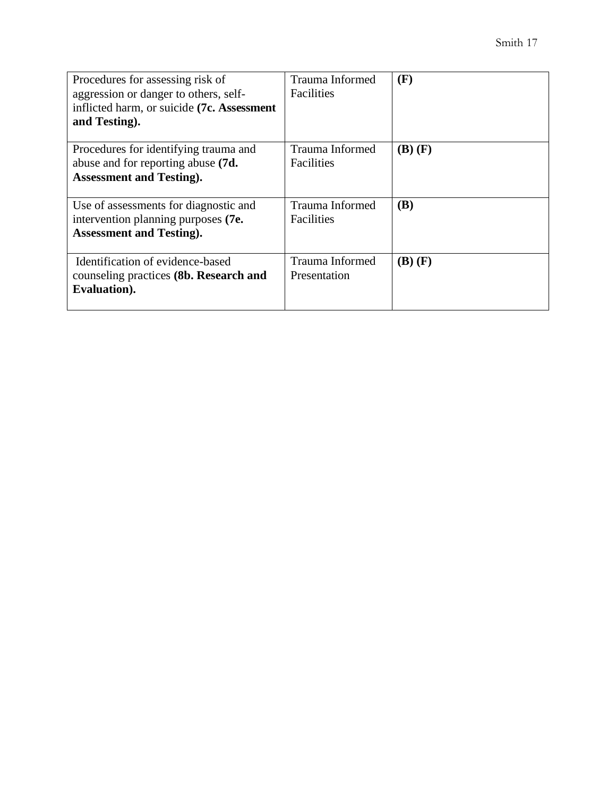| Procedures for assessing risk of<br>aggression or danger to others, self-<br>inflicted harm, or suicide (7c. Assessment<br>and Testing). | Trauma Informed<br>Facilities        | (F)         |
|------------------------------------------------------------------------------------------------------------------------------------------|--------------------------------------|-------------|
| Procedures for identifying trauma and<br>abuse and for reporting abuse (7d.<br><b>Assessment and Testing.</b>                            | Trauma Informed<br><b>Facilities</b> | $(B)$ $(F)$ |
| Use of assessments for diagnostic and<br>intervention planning purposes (7e.<br><b>Assessment and Testing).</b>                          | Trauma Informed<br><b>Facilities</b> | <b>(B)</b>  |
| Identification of evidence-based<br>counseling practices (8b. Research and<br>Evaluation).                                               | Trauma Informed<br>Presentation      | $(B)$ $(F)$ |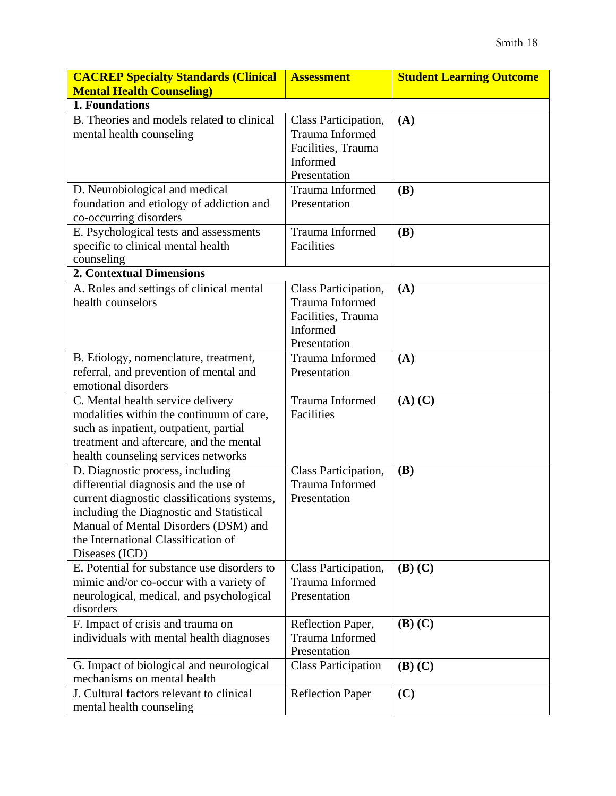| <b>CACREP Specialty Standards (Clinical</b>                                                                                                                                                                                                                           | <b>Assessment</b>                                                                         | <b>Student Learning Outcome</b> |
|-----------------------------------------------------------------------------------------------------------------------------------------------------------------------------------------------------------------------------------------------------------------------|-------------------------------------------------------------------------------------------|---------------------------------|
| <b>Mental Health Counseling)</b>                                                                                                                                                                                                                                      |                                                                                           |                                 |
| 1. Foundations                                                                                                                                                                                                                                                        |                                                                                           |                                 |
| B. Theories and models related to clinical<br>mental health counseling                                                                                                                                                                                                | Class Participation,<br>Trauma Informed<br>Facilities, Trauma<br>Informed<br>Presentation | (A)                             |
| D. Neurobiological and medical<br>foundation and etiology of addiction and<br>co-occurring disorders                                                                                                                                                                  | Trauma Informed<br>Presentation                                                           | <b>(B)</b>                      |
| E. Psychological tests and assessments<br>specific to clinical mental health<br>counseling                                                                                                                                                                            | Trauma Informed<br>Facilities                                                             | <b>(B)</b>                      |
| <b>2. Contextual Dimensions</b>                                                                                                                                                                                                                                       |                                                                                           |                                 |
| A. Roles and settings of clinical mental<br>health counselors                                                                                                                                                                                                         | Class Participation,<br>Trauma Informed<br>Facilities, Trauma<br>Informed<br>Presentation | (A)                             |
| B. Etiology, nomenclature, treatment,<br>referral, and prevention of mental and<br>emotional disorders                                                                                                                                                                | <b>Trauma Informed</b><br>Presentation                                                    | (A)                             |
| C. Mental health service delivery<br>modalities within the continuum of care,<br>such as inpatient, outpatient, partial<br>treatment and aftercare, and the mental<br>health counseling services networks                                                             | Trauma Informed<br>Facilities                                                             | $(A)$ $(C)$                     |
| D. Diagnostic process, including<br>differential diagnosis and the use of<br>current diagnostic classifications systems,<br>including the Diagnostic and Statistical<br>Manual of Mental Disorders (DSM) and<br>the International Classification of<br>Diseases (ICD) | Class Participation,<br>Trauma Informed<br>Presentation                                   | <b>(B)</b>                      |
| E. Potential for substance use disorders to<br>mimic and/or co-occur with a variety of<br>neurological, medical, and psychological<br>disorders                                                                                                                       | Class Participation,<br>Trauma Informed<br>Presentation                                   | $(B)$ $(C)$                     |
| F. Impact of crisis and trauma on<br>individuals with mental health diagnoses                                                                                                                                                                                         | Reflection Paper,<br>Trauma Informed<br>Presentation                                      | $(B)$ $(C)$                     |
| G. Impact of biological and neurological<br>mechanisms on mental health                                                                                                                                                                                               | <b>Class Participation</b>                                                                | $(B)$ $(C)$                     |
| J. Cultural factors relevant to clinical<br>mental health counseling                                                                                                                                                                                                  | <b>Reflection Paper</b>                                                                   | (C)                             |